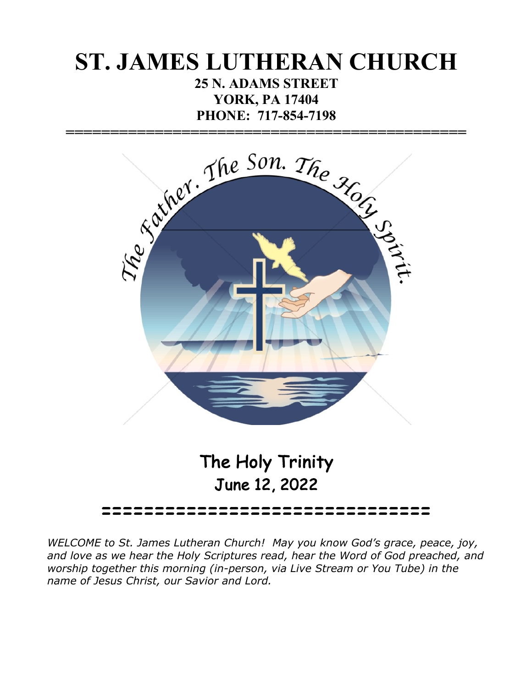# **ST. JAMES LUTHERAN CHURCH 25 N. ADAMS STREET YORK, PA 17404 PHONE: 717-854-7198**



*WELCOME to St. James Lutheran Church! May you know God's grace, peace, joy, and love as we hear the Holy Scriptures read, hear the Word of God preached, and worship together this morning (in-person, via Live Stream or You Tube) in the name of Jesus Christ, our Savior and Lord.*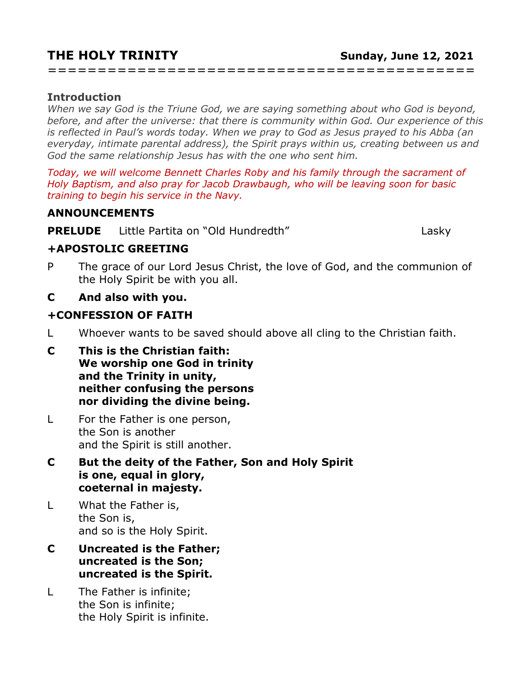THE HOLY TRINITY **Sunday, June 12, 2021** 

## **Introduction**

*When we say God is the Triune God, we are saying something about who God is beyond, before, and after the universe: that there is community within God. Our experience of this is reflected in Paul's words today. When we pray to God as Jesus prayed to his Abba (an everyday, intimate parental address), the Spirit prays within us, creating between us and God the same relationship Jesus has with the one who sent him.*

===========================================

*Today, we will welcome Bennett Charles Roby and his family through the sacrament of Holy Baptism, and also pray for Jacob Drawbaugh, who will be leaving soon for basic training to begin his service in the Navy.*

#### **ANNOUNCEMENTS**

**PRELUDE** Little Partita on "Old Hundredth" Lasky

## **+APOSTOLIC GREETING**

P The grace of our Lord Jesus Christ, the love of God, and the communion of the Holy Spirit be with you all.

## **C And also with you.**

## **+CONFESSION OF FAITH**

- L Whoever wants to be saved should above all cling to the Christian faith.
- **C This is the Christian faith: We worship one God in trinity and the Trinity in unity, neither confusing the persons nor dividing the divine being.**
- L For the Father is one person, the Son is another and the Spirit is still another.
- **C But the deity of the Father, Son and Holy Spirit is one, equal in glory, coeternal in majesty.**
- L What the Father is, the Son is, and so is the Holy Spirit.
- **C Uncreated is the Father; uncreated is the Son; uncreated is the Spirit.**
- L The Father is infinite; the Son is infinite; the Holy Spirit is infinite.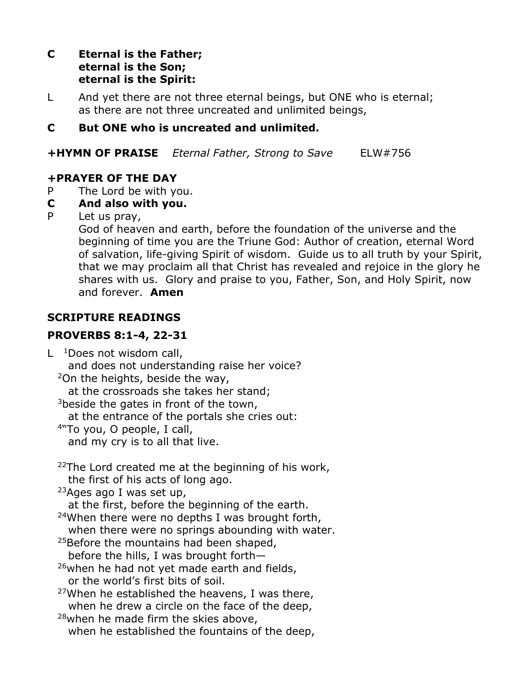## **C Eternal is the Father; eternal is the Son; eternal is the Spirit:**

L And yet there are not three eternal beings, but ONE who is eternal; as there are not three uncreated and unlimited beings,

## **C But ONE who is uncreated and unlimited.**

**+HYMN OF PRAISE** *Eternal Father, Strong to Save* ELW#756

## **+PRAYER OF THE DAY**

P The Lord be with you.

## **C And also with you.**

P Let us pray,

God of heaven and earth, before the foundation of the universe and the beginning of time you are the Triune God: Author of creation, eternal Word of salvation, life-giving Spirit of wisdom. Guide us to all truth by your Spirit, that we may proclaim all that Christ has revealed and rejoice in the glory he shares with us. Glory and praise to you, Father, Son, and Holy Spirit, now and forever. **Amen**

## **SCRIPTURE READINGS**

## **PROVERBS 8:1-4, 22-31**

L  $1$ Does not wisdom call, and does not understanding raise her voice? 2On the heights, beside the way, at the crossroads she takes her stand; <sup>3</sup>beside the gates in front of the town, at the entrance of the portals she cries out: 4"To you, O people, I call, and my cry is to all that live.  $22$ The Lord created me at the beginning of his work, the first of his acts of long ago.

<sup>23</sup>Ages ago I was set up,

at the first, before the beginning of the earth.

 $24$ When there were no depths I was brought forth,

when there were no springs abounding with water.

 $25$ Before the mountains had been shaped,

before the hills, I was brought forth—

 $26$ when he had not yet made earth and fields,

or the world's first bits of soil.

 $27$ When he established the heavens, I was there, when he drew a circle on the face of the deep,

 $28$ when he made firm the skies above, when he established the fountains of the deep,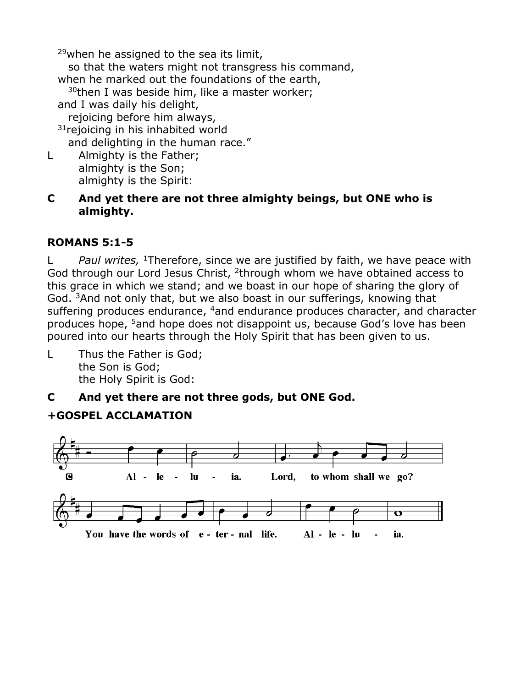$29$ when he assigned to the sea its limit, so that the waters might not transgress his command, when he marked out the foundations of the earth,  $30$ then I was beside him, like a master worker; and I was daily his delight, rejoicing before him always,  $31$ rejoicing in his inhabited world and delighting in the human race." L Almighty is the Father; almighty is the Son; almighty is the Spirit:

**C And yet there are not three almighty beings, but ONE who is almighty.**

## **ROMANS 5:1-5**

L *Paul writes,* 1Therefore, since we are justified by faith, we have peace with God through our Lord Jesus Christ, <sup>2</sup>through whom we have obtained access to this grace in which we stand; and we boast in our hope of sharing the glory of God. 3And not only that, but we also boast in our sufferings, knowing that suffering produces endurance, <sup>4</sup>and endurance produces character, and character produces hope, 5and hope does not disappoint us, because God's love has been poured into our hearts through the Holy Spirit that has been given to us.

L Thus the Father is God; the Son is God; the Holy Spirit is God:

## **C And yet there are not three gods, but ONE God.**

## **+GOSPEL ACCLAMATION**

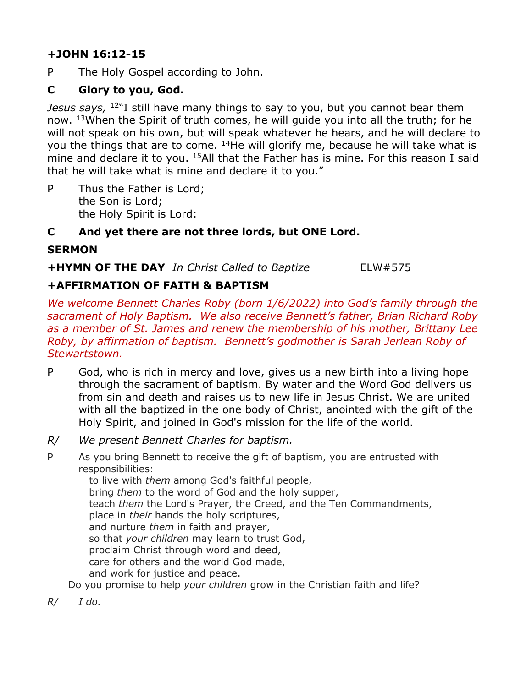## **+JOHN 16:12-15**

P The Holy Gospel according to John.

## **C Glory to you, God.**

*Jesus says*, <sup>12"</sup>I still have many things to say to you, but you cannot bear them now. 13When the Spirit of truth comes, he will guide you into all the truth; for he will not speak on his own, but will speak whatever he hears, and he will declare to you the things that are to come. <sup>14</sup>He will glorify me, because he will take what is mine and declare it to you. <sup>15</sup>All that the Father has is mine. For this reason I said that he will take what is mine and declare it to you."

P Thus the Father is Lord; the Son is Lord; the Holy Spirit is Lord:

## **C And yet there are not three lords, but ONE Lord.**

## **SERMON**

**+HYMN OF THE DAY** *In Christ Called to Baptize* ELW#575

## **+AFFIRMATION OF FAITH & BAPTISM**

*We welcome Bennett Charles Roby (born 1/6/2022) into God's family through the sacrament of Holy Baptism. We also receive Bennett's father, Brian Richard Roby as a member of St. James and renew the membership of his mother, Brittany Lee Roby, by affirmation of baptism. Bennett's godmother is Sarah Jerlean Roby of Stewartstown.* 

- P God, who is rich in mercy and love, gives us a new birth into a living hope through the sacrament of baptism. By water and the Word God delivers us from sin and death and raises us to new life in Jesus Christ. We are united with all the baptized in the one body of Christ, anointed with the gift of the Holy Spirit, and joined in God's mission for the life of the world.
- *R/ We present Bennett Charles for baptism.*
- P As you bring Bennett to receive the gift of baptism, you are entrusted with responsibilities:

to live with *them* among God's faithful people, bring *them* to the word of God and the holy supper, teach *them* the Lord's Prayer, the Creed, and the Ten Commandments, place in *their* hands the holy scriptures, and nurture *them* in faith and prayer, so that *your children* may learn to trust God, proclaim Christ through word and deed, care for others and the world God made, and work for justice and peace.

Do you promise to help *your children* grow in the Christian faith and life?

*R/ I do.*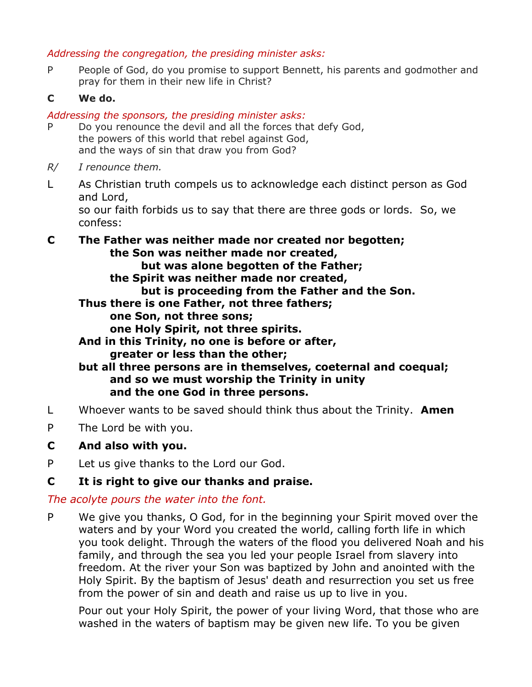#### *Addressing the congregation, the presiding minister asks:*

P People of God, do you promise to support Bennett, his parents and godmother and pray for them in their new life in Christ?

## **C We do.**

#### *Addressing the sponsors, the presiding minister asks:*

- Do you renounce the devil and all the forces that defy God, the powers of this world that rebel against God, and the ways of sin that draw you from God?
- *R/ I renounce them.*
- L As Christian truth compels us to acknowledge each distinct person as God and Lord,

so our faith forbids us to say that there are three gods or lords. So, we confess:

**C The Father was neither made nor created nor begotten; the Son was neither made nor created,** 

**but was alone begotten of the Father;**

**the Spirit was neither made nor created,** 

**but is proceeding from the Father and the Son.**

**Thus there is one Father, not three fathers;**

**one Son, not three sons;**

**one Holy Spirit, not three spirits.**

**And in this Trinity, no one is before or after, greater or less than the other;**

**but all three persons are in themselves, coeternal and coequal; and so we must worship the Trinity in unity and the one God in three persons.**

- L Whoever wants to be saved should think thus about the Trinity. **Amen**
- P The Lord be with you.
- **C And also with you.**

P Let us give thanks to the Lord our God.

## **C It is right to give our thanks and praise.**

## *The acolyte pours the water into the font.*

P We give you thanks, O God, for in the beginning your Spirit moved over the waters and by your Word you created the world, calling forth life in which you took delight. Through the waters of the flood you delivered Noah and his family, and through the sea you led your people Israel from slavery into freedom. At the river your Son was baptized by John and anointed with the Holy Spirit. By the baptism of Jesus' death and resurrection you set us free from the power of sin and death and raise us up to live in you.

Pour out your Holy Spirit, the power of your living Word, that those who are washed in the waters of baptism may be given new life. To you be given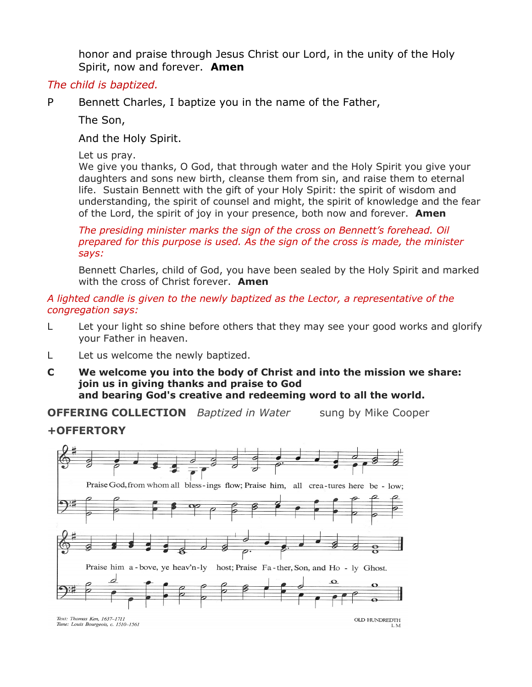honor and praise through Jesus Christ our Lord, in the unity of the Holy Spirit, now and forever. **Amen**

## *The child is baptized.*

P Bennett Charles, I baptize you in the name of the Father,

The Son,

And the Holy Spirit.

Let us pray.

We give you thanks, O God, that through water and the Holy Spirit you give your daughters and sons new birth, cleanse them from sin, and raise them to eternal life. Sustain Bennett with the gift of your Holy Spirit: the spirit of wisdom and understanding, the spirit of counsel and might, the spirit of knowledge and the fear of the Lord, the spirit of joy in your presence, both now and forever. **Amen**

*The presiding minister marks the sign of the cross on Bennett's forehead. Oil prepared for this purpose is used. As the sign of the cross is made, the minister says:*

Bennett Charles, child of God, you have been sealed by the Holy Spirit and marked with the cross of Christ forever. **Amen**

*A lighted candle is given to the newly baptized as the Lector, a representative of the congregation says:*

- L Let your light so shine before others that they may see your good works and glorify your Father in heaven.
- L Let us welcome the newly baptized.
- **C We welcome you into the body of Christ and into the mission we share: join us in giving thanks and praise to God and bearing God's creative and redeeming word to all the world.**

**OFFERING COLLECTION** *Baptized in Water* sung by Mike Cooper

#### **+OFFERTORY**



Text: Thomas Ken, 1637-1711 Tune: Louis Bourgeois, c. 1510-1561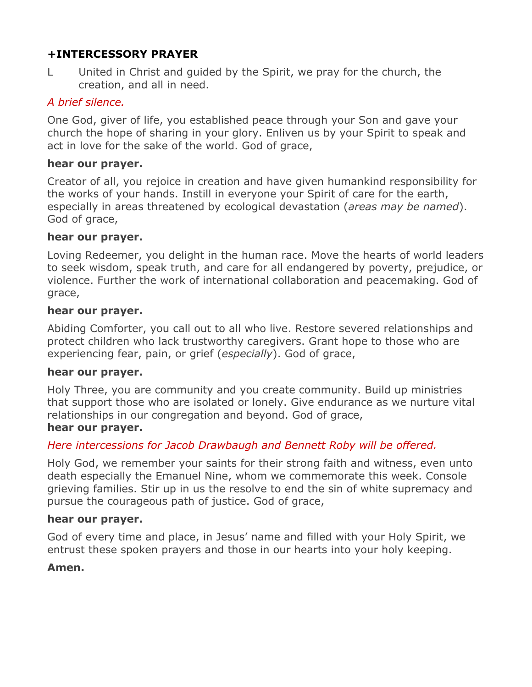## **+INTERCESSORY PRAYER**

L United in Christ and guided by the Spirit, we pray for the church, the creation, and all in need.

## *A brief silence.*

One God, giver of life, you established peace through your Son and gave your church the hope of sharing in your glory. Enliven us by your Spirit to speak and act in love for the sake of the world. God of grace,

## **hear our prayer.**

Creator of all, you rejoice in creation and have given humankind responsibility for the works of your hands. Instill in everyone your Spirit of care for the earth, especially in areas threatened by ecological devastation (*areas may be named*). God of grace,

## **hear our prayer.**

Loving Redeemer, you delight in the human race. Move the hearts of world leaders to seek wisdom, speak truth, and care for all endangered by poverty, prejudice, or violence. Further the work of international collaboration and peacemaking. God of grace,

## **hear our prayer.**

Abiding Comforter, you call out to all who live. Restore severed relationships and protect children who lack trustworthy caregivers. Grant hope to those who are experiencing fear, pain, or grief (*especially*). God of grace,

#### **hear our prayer.**

Holy Three, you are community and you create community. Build up ministries that support those who are isolated or lonely. Give endurance as we nurture vital relationships in our congregation and beyond. God of grace,

#### **hear our prayer.**

## *Here intercessions for Jacob Drawbaugh and Bennett Roby will be offered.*

Holy God, we remember your saints for their strong faith and witness, even unto death especially the Emanuel Nine, whom we commemorate this week. Console grieving families. Stir up in us the resolve to end the sin of white supremacy and pursue the courageous path of justice. God of grace,

## **hear our prayer.**

God of every time and place, in Jesus' name and filled with your Holy Spirit, we entrust these spoken prayers and those in our hearts into your holy keeping.

#### **Amen.**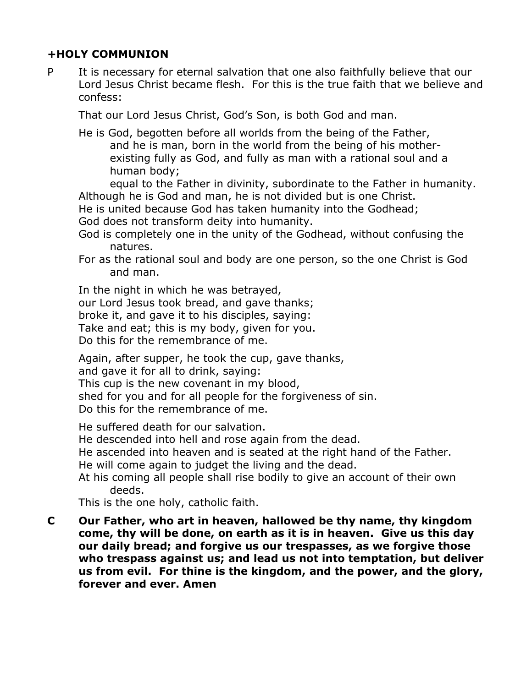## **+HOLY COMMUNION**

P It is necessary for eternal salvation that one also faithfully believe that our Lord Jesus Christ became flesh. For this is the true faith that we believe and confess:

That our Lord Jesus Christ, God's Son, is both God and man.

He is God, begotten before all worlds from the being of the Father, and he is man, born in the world from the being of his motherexisting fully as God, and fully as man with a rational soul and a human body;

equal to the Father in divinity, subordinate to the Father in humanity. Although he is God and man, he is not divided but is one Christ.

He is united because God has taken humanity into the Godhead; God does not transform deity into humanity.

- God is completely one in the unity of the Godhead, without confusing the natures.
- For as the rational soul and body are one person, so the one Christ is God and man.

In the night in which he was betrayed,

our Lord Jesus took bread, and gave thanks;

broke it, and gave it to his disciples, saying:

Take and eat; this is my body, given for you.

Do this for the remembrance of me.

Again, after supper, he took the cup, gave thanks,

and gave it for all to drink, saying:

This cup is the new covenant in my blood,

shed for you and for all people for the forgiveness of sin.

Do this for the remembrance of me.

He suffered death for our salvation.

He descended into hell and rose again from the dead.

He ascended into heaven and is seated at the right hand of the Father. He will come again to judget the living and the dead.

At his coming all people shall rise bodily to give an account of their own deeds.

This is the one holy, catholic faith.

**C Our Father, who art in heaven, hallowed be thy name, thy kingdom come, thy will be done, on earth as it is in heaven. Give us this day our daily bread; and forgive us our trespasses, as we forgive those who trespass against us; and lead us not into temptation, but deliver us from evil. For thine is the kingdom, and the power, and the glory, forever and ever. Amen**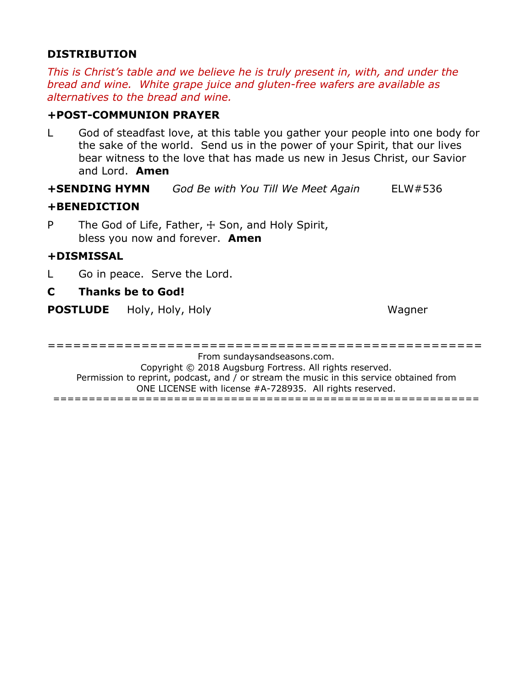## **DISTRIBUTION**

*This is Christ's table and we believe he is truly present in, with, and under the bread and wine. White grape juice and gluten-free wafers are available as alternatives to the bread and wine.*

## **+POST-COMMUNION PRAYER**

- L God of steadfast love, at this table you gather your people into one body for the sake of the world. Send us in the power of your Spirit, that our lives bear witness to the love that has made us new in Jesus Christ, our Savior and Lord. **Amen**
- **+SENDING HYMN** *God Be with You Till We Meet Again* ELW#536

#### **+BENEDICTION**

P The God of Life, Father,  $\pm$  Son, and Holy Spirit, bless you now and forever. **Amen** 

#### **+DISMISSAL**

- L Go in peace. Serve the Lord.
- **C Thanks be to God!**
- **POSTLUDE** Holy, Holy, Holy Magner

=================================================== From sundaysandseasons.com. Copyright © 2018 Augsburg Fortress. All rights reserved. Permission to reprint, podcast, and / or stream the music in this service obtained from ONE LICENSE with license #A-728935. All rights reserved. ============================================================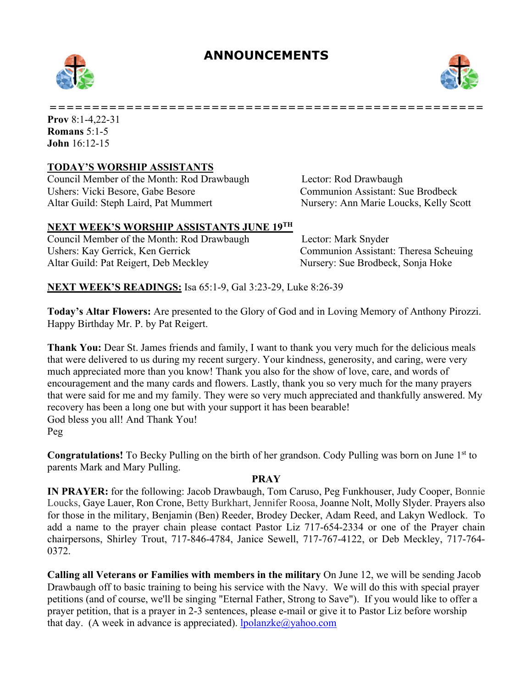## **ANNOUNCEMENTS**

*===================================================*





**Prov** 8:1-4,22-31 **Romans** 5:1-5 **John** 16:12-15

## **TODAY'S WORSHIP ASSISTANTS**

Council Member of the Month: Rod Drawbaugh Lector: Rod Drawbaugh Ushers: Vicki Besore, Gabe Besore Communion Assistant: Sue Brodbeck Altar Guild: Steph Laird, Pat Mummert Nursery: Ann Marie Loucks, Kelly Scott

#### **NEXT WEEK'S WORSHIP ASSISTANTS JUNE 19TH**

Council Member of the Month: Rod Drawbaugh Lector: Mark Snyder Ushers: Kay Gerrick, Ken Gerrick Communion Assistant: Theresa Scheuing Altar Guild: Pat Reigert, Deb Meckley Nursery: Sue Brodbeck, Sonja Hoke

#### **NEXT WEEK'S READINGS:** Isa 65:1-9, Gal 3:23-29, Luke 8:26-39

**Today's Altar Flowers:** Are presented to the Glory of God and in Loving Memory of Anthony Pirozzi. Happy Birthday Mr. P. by Pat Reigert.

**Thank You:** Dear St. James friends and family, I want to thank you very much for the delicious meals that were delivered to us during my recent surgery. Your kindness, generosity, and caring, were very much appreciated more than you know! Thank you also for the show of love, care, and words of encouragement and the many cards and flowers. Lastly, thank you so very much for the many prayers that were said for me and my family. They were so very much appreciated and thankfully answered. My recovery has been a long one but with your support it has been bearable! God bless you all! And Thank You! Peg

**Congratulations!** To Becky Pulling on the birth of her grandson. Cody Pulling was born on June 1<sup>st</sup> to parents Mark and Mary Pulling.

#### **PRAY**

**IN PRAYER:** for the following: Jacob Drawbaugh, Tom Caruso, Peg Funkhouser, Judy Cooper, Bonnie Loucks, Gaye Lauer, Ron Crone, Betty Burkhart, Jennifer Roosa, Joanne Nolt, Molly Slyder. Prayers also for those in the military, Benjamin (Ben) Reeder, Brodey Decker, Adam Reed, and Lakyn Wedlock. To add a name to the prayer chain please contact Pastor Liz 717-654-2334 or one of the Prayer chain chairpersons, Shirley Trout, 717-846-4784, Janice Sewell, 717-767-4122, or Deb Meckley, 717-764- 0372.

**Calling all Veterans or Families with members in the military** On June 12, we will be sending Jacob Drawbaugh off to basic training to being his service with the Navy. We will do this with special prayer petitions (and of course, we'll be singing "Eternal Father, Strong to Save"). If you would like to offer a prayer petition, that is a prayer in 2-3 sentences, please e-mail or give it to Pastor Liz before worship that day. (A week in advance is appreciated).  $l$ polanzke $\omega$ yahoo.com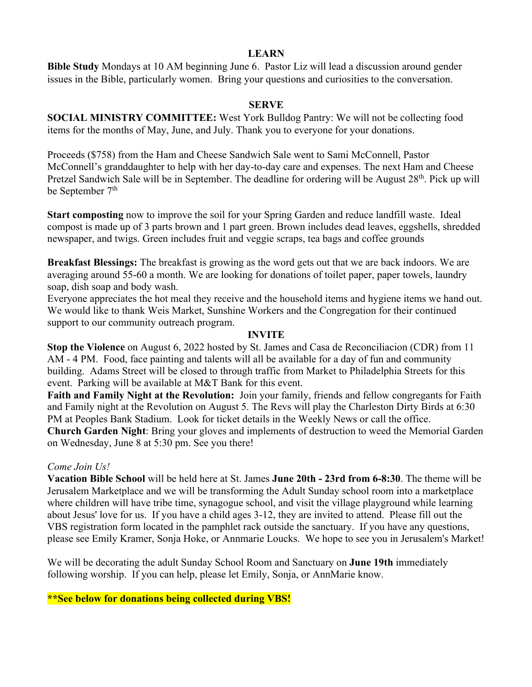#### **LEARN**

**Bible Study** Mondays at 10 AM beginning June 6. Pastor Liz will lead a discussion around gender issues in the Bible, particularly women. Bring your questions and curiosities to the conversation.

#### **SERVE**

**SOCIAL MINISTRY COMMITTEE:** West York Bulldog Pantry: We will not be collecting food items for the months of May, June, and July. Thank you to everyone for your donations.

Proceeds (\$758) from the Ham and Cheese Sandwich Sale went to Sami McConnell, Pastor McConnell's granddaughter to help with her day-to-day care and expenses. The next Ham and Cheese Pretzel Sandwich Sale will be in September. The deadline for ordering will be August 28<sup>th</sup>. Pick up will be September 7<sup>th</sup>

**Start composting** now to improve the soil for your Spring Garden and reduce landfill waste. Ideal compost is made up of 3 parts brown and 1 part green. Brown includes dead leaves, eggshells, shredded newspaper, and twigs. Green includes fruit and veggie scraps, tea bags and coffee grounds

**Breakfast Blessings:** The breakfast is growing as the word gets out that we are back indoors. We are averaging around 55-60 a month. We are looking for donations of toilet paper, paper towels, laundry soap, dish soap and body wash.

Everyone appreciates the hot meal they receive and the household items and hygiene items we hand out. We would like to thank Weis Market, Sunshine Workers and the Congregation for their continued support to our community outreach program.

#### **INVITE**

**Stop the Violence** on August 6, 2022 hosted by St. James and Casa de Reconciliacion (CDR) from 11 AM - 4 PM. Food, face painting and talents will all be available for a day of fun and community building. Adams Street will be closed to through traffic from Market to Philadelphia Streets for this event. Parking will be available at M&T Bank for this event.

**Faith and Family Night at the Revolution:** Join your family, friends and fellow congregants for Faith and Family night at the Revolution on August 5. The Revs will play the Charleston Dirty Birds at 6:30 PM at Peoples Bank Stadium. Look for ticket details in the Weekly News or call the office. **Church Garden Night**: Bring your gloves and implements of destruction to weed the Memorial Garden on Wednesday, June 8 at 5:30 pm. See you there!

#### *Come Join Us!*

**Vacation Bible School** will be held here at St. James **June 20th - 23rd from 6-8:30**. The theme will be Jerusalem Marketplace and we will be transforming the Adult Sunday school room into a marketplace where children will have tribe time, synagogue school, and visit the village playground while learning about Jesus' love for us. If you have a child ages 3-12, they are invited to attend. Please fill out the VBS registration form located in the pamphlet rack outside the sanctuary. If you have any questions, please see Emily Kramer, Sonja Hoke, or Annmarie Loucks. We hope to see you in Jerusalem's Market!

We will be decorating the adult Sunday School Room and Sanctuary on **June 19th** immediately following worship. If you can help, please let Emily, Sonja, or AnnMarie know.

**\*\*See below for donations being collected during VBS!**